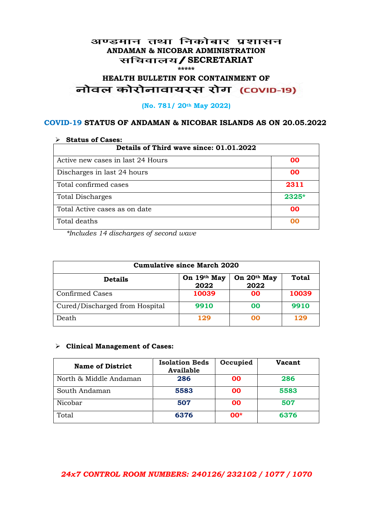### अण्डमान तथा निकोबार प्रशासन **ANDAMAN & NICOBAR ADMINISTRATION /SECRETARIAT \*\*\*\*\***

# HEALTH BULLETIN FOR CONTAINMENT OF<br>बोवल कोरोनावायरस रोग (COVID-19)

#### **(No. 781/ 20th May 2022)**

### **COVID-19 STATUS OF ANDAMAN & NICOBAR ISLANDS AS ON 20.05.2022**

| <b>Status of Cases:</b>                 |           |  |
|-----------------------------------------|-----------|--|
| Details of Third wave since: 01.01.2022 |           |  |
| Active new cases in last 24 Hours       | 00        |  |
| Discharges in last 24 hours             | 00        |  |
| Total confirmed cases                   | 2311      |  |
| <b>Total Discharges</b>                 | $2325*$   |  |
| Total Active cases as on date           | <b>OO</b> |  |
| Total deaths                            | OO        |  |

*\*Includes 14 discharges of second wave*

| <b>Cumulative since March 2020</b> |                     |                     |              |
|------------------------------------|---------------------|---------------------|--------------|
| <b>Details</b>                     | On 19th May<br>2022 | On 20th May<br>2022 | <b>Total</b> |
| <b>Confirmed Cases</b>             | 10039               | 00                  | 10039        |
| Cured/Discharged from Hospital     | 9910                | 00                  | 9910         |
| Death                              | 129                 | 00                  | 129          |

#### **Clinical Management of Cases:**

| <b>Name of District</b> | <b>Isolation Beds</b><br><b>Available</b> | Occupied | <b>Vacant</b> |
|-------------------------|-------------------------------------------|----------|---------------|
| North & Middle Andaman  | 286                                       | 00       | 286           |
| South Andaman           | 5583                                      | 00       | 5583          |
| Nicobar                 | 507                                       | 00       | 507           |
| Total                   | 6376                                      | $00*$    | 6376          |

## *24x7 CONTROL ROOM NUMBERS: 240126/ 232102 / 1077 / 1070*